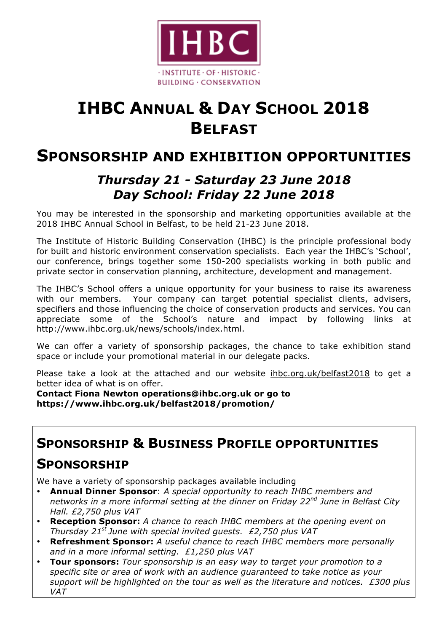

# **IHBC ANNUAL & DAY SCHOOL 2018 BELFAST**

# **SPONSORSHIP AND EXHIBITION OPPORTUNITIES**

### *Thursday 21 - Saturday 23 June 2018 Day School: Friday 22 June 2018*

You may be interested in the sponsorship and marketing opportunities available at the 2018 IHBC Annual School in Belfast, to be held 21-23 June 2018.

The Institute of Historic Building Conservation (IHBC) is the principle professional body for built and historic environment conservation specialists. Each year the IHBC's 'School', our conference, brings together some 150-200 specialists working in both public and private sector in conservation planning, architecture, development and management.

The IHBC's School offers a unique opportunity for your business to raise its awareness with our members. Your company can target potential specialist clients, advisers, specifiers and those influencing the choice of conservation products and services. You can appreciate some of the School's nature and impact by following links at http://www.ihbc.org.uk/news/schools/index.html.

We can offer a variety of sponsorship packages, the chance to take exhibition stand space or include your promotional material in our delegate packs.

Please take a look at the attached and our website ihbc.org.uk/belfast2018 to get a better idea of what is on offer.

**Contact Fiona Newton operations@ihbc.org.uk or go to https://www.ihbc.org.uk/belfast2018/promotion/**

## **SPONSORSHIP & BUSINESS PROFILE OPPORTUNITIES**

# **SPONSORSHIP**

We have a variety of sponsorship packages available including

- **Annual Dinner Sponsor**: *A special opportunity to reach IHBC members and networks in a more informal setting at the dinner on Friday 22nd June in Belfast City Hall. £2,750 plus VAT*
- **Reception Sponsor:** *A chance to reach IHBC members at the opening event on Thursday 21st June with special invited guests. £2,750 plus VAT*
- **Refreshment Sponsor:** *A useful chance to reach IHBC members more personally and in a more informal setting. £1,250 plus VAT*
- **Tour sponsors:** *Tour sponsorship is an easy way to target your promotion to a specific site or area of work with an audience guaranteed to take notice as your support will be highlighted on the tour as well as the literature and notices. £300 plus VAT*